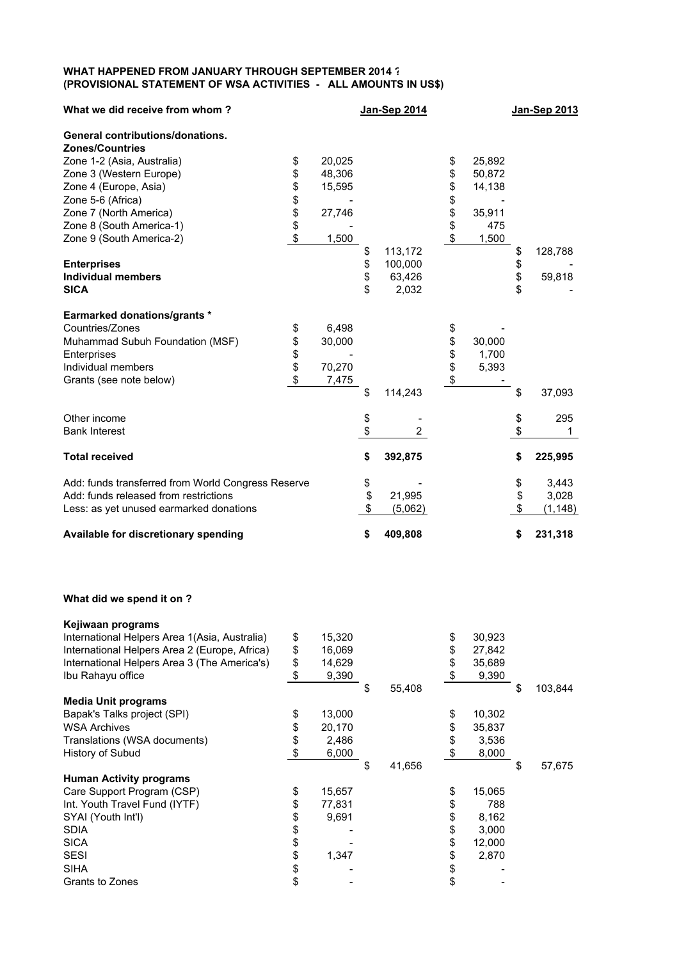## **WHAT HAPPENED FROM JANUARY THROUGH SEPTEMBER 2014 ? (PROVISIONAL STATEMENT OF WSA ACTIVITIES - ALL AMOUNTS IN US\$)**

| What we did receive from whom?                     |          |        | <b>Jan-Sep 2014</b>  |            |        |          | <b>Jan-Sep 2013</b> |
|----------------------------------------------------|----------|--------|----------------------|------------|--------|----------|---------------------|
| General contributions/donations.                   |          |        |                      |            |        |          |                     |
| <b>Zones/Countries</b>                             |          |        |                      |            |        |          |                     |
| Zone 1-2 (Asia, Australia)                         | \$       | 20,025 |                      | \$         | 25,892 |          |                     |
| Zone 3 (Western Europe)                            | \$       | 48,306 |                      | \$         | 50,872 |          |                     |
| Zone 4 (Europe, Asia)                              | \$\$\$   | 15,595 |                      | \$\$\$\$\$ | 14,138 |          |                     |
| Zone 5-6 (Africa)                                  |          |        |                      |            |        |          |                     |
| Zone 7 (North America)                             |          | 27,746 |                      |            | 35,911 |          |                     |
| Zone 8 (South America-1)                           |          |        |                      |            | 475    |          |                     |
| Zone 9 (South America-2)                           | \$       | 1,500  |                      |            | 1,500  |          |                     |
|                                                    |          |        | \$<br>113,172        |            |        | \$       | 128,788             |
| <b>Enterprises</b>                                 |          |        | \$<br>100,000        |            |        | \$<br>\$ |                     |
| <b>Individual members</b>                          |          |        | \$<br>63,426         |            |        |          | 59,818              |
| <b>SICA</b>                                        |          |        | \$<br>2,032          |            |        | \$       |                     |
| <b>Earmarked donations/grants *</b>                |          |        |                      |            |        |          |                     |
| Countries/Zones                                    | \$       | 6,498  |                      | \$         |        |          |                     |
| Muhammad Subuh Foundation (MSF)                    | \$       | 30,000 |                      | \$         | 30,000 |          |                     |
| Enterprises                                        |          |        |                      |            | 1,700  |          |                     |
| Individual members                                 | \$<br>\$ | 70,270 |                      | \$\$\$     | 5,393  |          |                     |
| Grants (see note below)                            | \$       | 7,475  |                      |            |        |          |                     |
|                                                    |          |        | \$<br>114,243        |            |        | \$       | 37,093              |
| Other income                                       |          |        | \$                   |            |        | \$       | 295                 |
| <b>Bank Interest</b>                               |          |        | \$<br>$\overline{2}$ |            |        | \$       | 1                   |
|                                                    |          |        |                      |            |        |          |                     |
| <b>Total received</b>                              |          |        | \$<br>392,875        |            |        | \$       | 225,995             |
| Add: funds transferred from World Congress Reserve |          |        | \$                   |            |        | \$       | 3,443               |
| Add: funds released from restrictions              |          |        | \$<br>21,995         |            |        | \$       | 3,028               |
| Less: as yet unused earmarked donations            |          |        | \$<br>(5,062)        |            |        | \$       | (1, 148)            |
| Available for discretionary spending               |          |        | \$<br>409,808        |            |        | \$       | 231,318             |

## **What did we spend it on ?**

| Kejiwaan programs                             |              |              |              |    |         |
|-----------------------------------------------|--------------|--------------|--------------|----|---------|
| International Helpers Area 1(Asia, Australia) | \$<br>15,320 |              | \$<br>30,923 |    |         |
| International Helpers Area 2 (Europe, Africa) | \$<br>16,069 |              | \$<br>27,842 |    |         |
| International Helpers Area 3 (The America's)  | \$<br>14,629 |              | \$<br>35,689 |    |         |
| Ibu Rahayu office                             | \$<br>9,390  |              | \$<br>9,390  |    |         |
|                                               |              | \$<br>55,408 |              | \$ | 103,844 |
| <b>Media Unit programs</b>                    |              |              |              |    |         |
| Bapak's Talks project (SPI)                   | \$<br>13,000 |              | \$<br>10,302 |    |         |
| <b>WSA Archives</b>                           | \$<br>20,170 |              | \$<br>35,837 |    |         |
| Translations (WSA documents)                  | \$<br>2,486  |              | \$<br>3,536  |    |         |
| History of Subud                              | \$<br>6,000  |              | \$<br>8,000  |    |         |
|                                               |              | \$<br>41,656 |              | S  | 57,675  |
| <b>Human Activity programs</b>                |              |              |              |    |         |
| Care Support Program (CSP)                    | \$<br>15,657 |              | \$<br>15,065 |    |         |
| Int. Youth Travel Fund (IYTF)                 | \$<br>77,831 |              | \$<br>788    |    |         |
| SYAI (Youth Int'l)                            | \$<br>9,691  |              | \$<br>8,162  |    |         |
| <b>SDIA</b>                                   | \$           |              | \$<br>3,000  |    |         |
| <b>SICA</b>                                   | \$           |              | \$<br>12,000 |    |         |
| <b>SESI</b>                                   | \$<br>1,347  |              | \$<br>2,870  |    |         |
| <b>SIHA</b>                                   | \$           |              | \$           |    |         |
| Grants to Zones                               | \$           |              | \$           |    |         |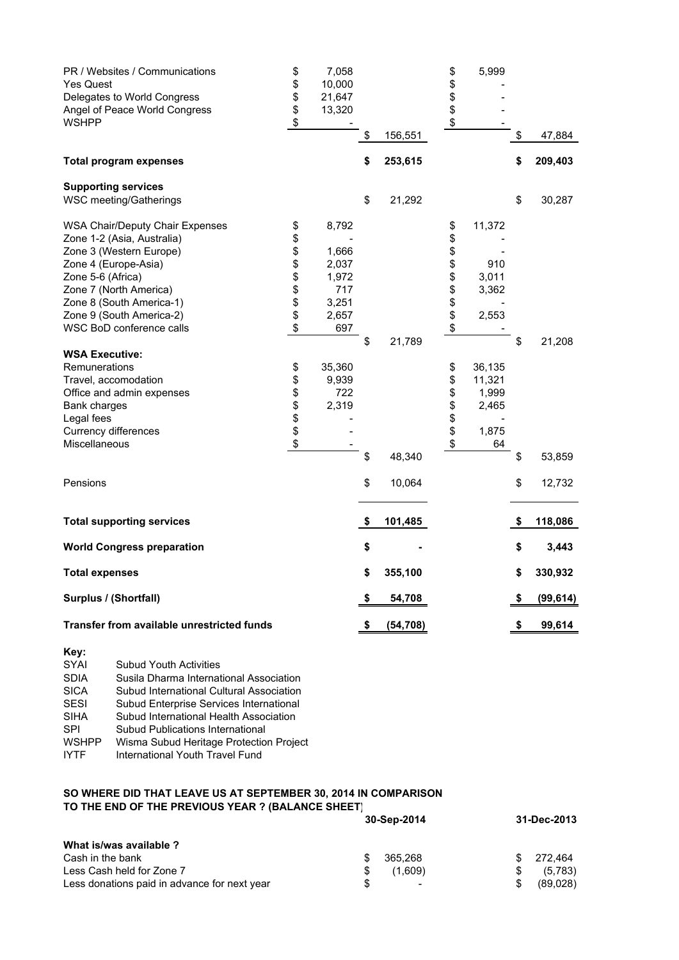| PR / Websites / Communications<br><b>Yes Quest</b> | \$<br>\$ | 7,058<br>10,000 |                 | \$<br>\$   | 5,999            |                 |
|----------------------------------------------------|----------|-----------------|-----------------|------------|------------------|-----------------|
| Delegates to World Congress                        | \$       | 21,647          |                 | \$         |                  |                 |
| Angel of Peace World Congress                      | \$       | 13,320          |                 | \$         |                  |                 |
| <b>WSHPP</b>                                       | \$       |                 |                 | \$         |                  |                 |
|                                                    |          |                 | \$<br>156,551   |            |                  | \$<br>47,884    |
| <b>Total program expenses</b>                      |          |                 | \$<br>253,615   |            |                  | \$<br>209,403   |
| <b>Supporting services</b>                         |          |                 |                 |            |                  |                 |
| WSC meeting/Gatherings                             |          |                 | \$<br>21,292    |            |                  | \$<br>30,287    |
| <b>WSA Chair/Deputy Chair Expenses</b>             | \$       | 8,792           |                 | \$         | 11,372           |                 |
| Zone 1-2 (Asia, Australia)                         | \$       |                 |                 | \$         |                  |                 |
| Zone 3 (Western Europe)                            | \$       | 1,666           |                 | \$\$\$\$\$ |                  |                 |
| Zone 4 (Europe-Asia)                               | \$       | 2,037           |                 |            | 910              |                 |
| Zone 5-6 (Africa)                                  | \$       | 1,972           |                 |            | 3,011            |                 |
| Zone 7 (North America)                             | \$<br>\$ | 717             |                 |            | 3,362            |                 |
| Zone 8 (South America-1)                           |          | 3,251           |                 |            |                  |                 |
| Zone 9 (South America-2)                           | \$       | 2,657           |                 | \$         | 2,553            |                 |
| WSC BoD conference calls                           | \$       | 697             | \$              | \$         |                  | \$              |
| <b>WSA Executive:</b>                              |          |                 | 21,789          |            |                  | 21,208          |
| Remunerations                                      |          | 35,360          |                 |            |                  |                 |
| Travel, accomodation                               | \$<br>\$ | 9,939           |                 | \$<br>\$   | 36,135<br>11,321 |                 |
| Office and admin expenses                          |          | 722             |                 | \$         | 1,999            |                 |
| Bank charges                                       | \$\$\$   | 2,319           |                 |            | 2,465            |                 |
| Legal fees                                         |          |                 |                 | \$\$       |                  |                 |
| Currency differences                               |          |                 |                 |            | 1,875            |                 |
| Miscellaneous                                      | \$       |                 |                 | \$         | 64               |                 |
|                                                    |          |                 | \$<br>48,340    |            |                  | \$<br>53,859    |
| Pensions                                           |          |                 | \$<br>10,064    |            |                  | \$<br>12,732    |
|                                                    |          |                 |                 |            |                  |                 |
| <b>Total supporting services</b>                   |          |                 | \$<br>101,485   |            |                  | \$<br>118,086   |
| <b>World Congress preparation</b>                  |          |                 | \$              |            |                  | \$<br>3,443     |
| <b>Total expenses</b>                              |          |                 | \$<br>355,100   |            |                  | \$<br>330,932   |
| Surplus / (Shortfall)                              |          |                 | \$<br>54,708    |            |                  | \$<br>(99, 614) |
| Transfer from available unrestricted funds         |          |                 | \$<br>(54, 708) |            |                  | \$<br>99,614    |
| Key:                                               |          |                 |                 |            |                  |                 |

| <b>SYAI</b>  | <b>Subud Youth Activities</b>            |
|--------------|------------------------------------------|
| <b>SDIA</b>  | Susila Dharma International Association  |
| <b>SICA</b>  | Subud International Cultural Association |
| <b>SESI</b>  | Subud Enterprise Services International  |
| <b>SIHA</b>  | Subud International Health Association   |
| <b>SPI</b>   | Subud Publications International         |
| <b>WSHPP</b> | Wisma Subud Heritage Protection Project  |
| <b>IYTF</b>  | International Youth Travel Fund          |
|              |                                          |

## **SO WHERE DID THAT LEAVE US AT SEPTEMBER 30, 2014 IN COMPARISON TO THE END OF THE PREVIOUS YEAR ? (BALANCE SHEET)**

|                                              | 30-Sep-2014 | 31-Dec-2013 |
|----------------------------------------------|-------------|-------------|
| What is/was available ?                      |             |             |
| Cash in the bank                             | 365.268     | 272.464     |
| Less Cash held for Zone 7                    | (1.609)     | (5,783)     |
| Less donations paid in advance for next year |             | (89,028)    |